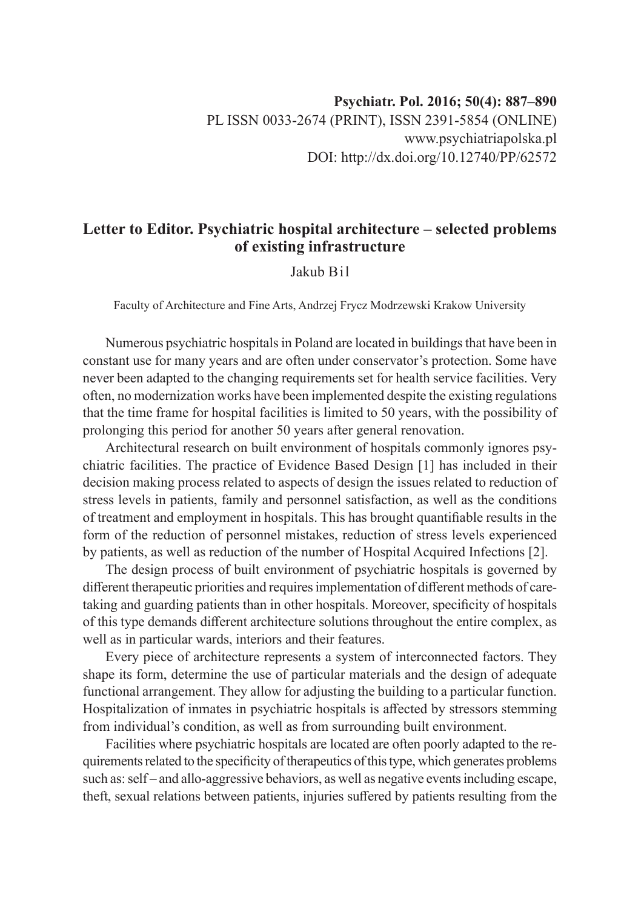## **Letter to Editor. Psychiatric hospital architecture – selected problems of existing infrastructure**

## Jakub Bil

Faculty of Architecture and Fine Arts, Andrzej Frycz Modrzewski Krakow University

Numerous psychiatric hospitals in Poland are located in buildings that have been in constant use for many years and are often under conservator's protection. Some have never been adapted to the changing requirements set for health service facilities. Very often, no modernization works have been implemented despite the existing regulations that the time frame for hospital facilities is limited to 50 years, with the possibility of prolonging this period for another 50 years after general renovation.

Architectural research on built environment of hospitals commonly ignores psychiatric facilities. The practice of Evidence Based Design [1] has included in their decision making process related to aspects of design the issues related to reduction of stress levels in patients, family and personnel satisfaction, as well as the conditions of treatment and employment in hospitals. This has brought quantifiable results in the form of the reduction of personnel mistakes, reduction of stress levels experienced by patients, as well as reduction of the number of Hospital Acquired Infections [2].

The design process of built environment of psychiatric hospitals is governed by different therapeutic priorities and requires implementation of different methods of caretaking and guarding patients than in other hospitals. Moreover, specificity of hospitals of this type demands different architecture solutions throughout the entire complex, as well as in particular wards, interiors and their features.

Every piece of architecture represents a system of interconnected factors. They shape its form, determine the use of particular materials and the design of adequate functional arrangement. They allow for adjusting the building to a particular function. Hospitalization of inmates in psychiatric hospitals is affected by stressors stemming from individual's condition, as well as from surrounding built environment.

Facilities where psychiatric hospitals are located are often poorly adapted to the requirements related to the specificity of therapeutics of this type, which generates problems such as: self – and allo-aggressive behaviors, as well as negative events including escape, theft, sexual relations between patients, injuries suffered by patients resulting from the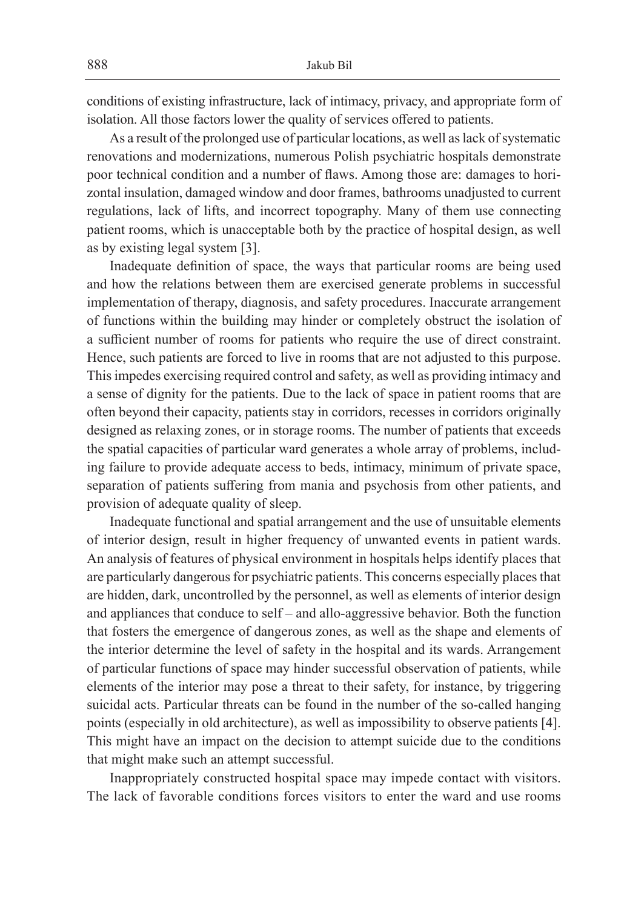conditions of existing infrastructure, lack of intimacy, privacy, and appropriate form of isolation. All those factors lower the quality of services offered to patients.

As a result of the prolonged use of particular locations, as well as lack of systematic renovations and modernizations, numerous Polish psychiatric hospitals demonstrate poor technical condition and a number of flaws. Among those are: damages to horizontal insulation, damaged window and door frames, bathrooms unadjusted to current regulations, lack of lifts, and incorrect topography. Many of them use connecting patient rooms, which is unacceptable both by the practice of hospital design, as well as by existing legal system [3].

Inadequate definition of space, the ways that particular rooms are being used and how the relations between them are exercised generate problems in successful implementation of therapy, diagnosis, and safety procedures. Inaccurate arrangement of functions within the building may hinder or completely obstruct the isolation of a sufficient number of rooms for patients who require the use of direct constraint. Hence, such patients are forced to live in rooms that are not adjusted to this purpose. This impedes exercising required control and safety, as well as providing intimacy and a sense of dignity for the patients. Due to the lack of space in patient rooms that are often beyond their capacity, patients stay in corridors, recesses in corridors originally designed as relaxing zones, or in storage rooms. The number of patients that exceeds the spatial capacities of particular ward generates a whole array of problems, including failure to provide adequate access to beds, intimacy, minimum of private space, separation of patients suffering from mania and psychosis from other patients, and provision of adequate quality of sleep.

Inadequate functional and spatial arrangement and the use of unsuitable elements of interior design, result in higher frequency of unwanted events in patient wards. An analysis of features of physical environment in hospitals helps identify places that are particularly dangerous for psychiatric patients. This concerns especially places that are hidden, dark, uncontrolled by the personnel, as well as elements of interior design and appliances that conduce to self – and allo-aggressive behavior. Both the function that fosters the emergence of dangerous zones, as well as the shape and elements of the interior determine the level of safety in the hospital and its wards. Arrangement of particular functions of space may hinder successful observation of patients, while elements of the interior may pose a threat to their safety, for instance, by triggering suicidal acts. Particular threats can be found in the number of the so-called hanging points (especially in old architecture), as well as impossibility to observe patients [4]. This might have an impact on the decision to attempt suicide due to the conditions that might make such an attempt successful.

Inappropriately constructed hospital space may impede contact with visitors. The lack of favorable conditions forces visitors to enter the ward and use rooms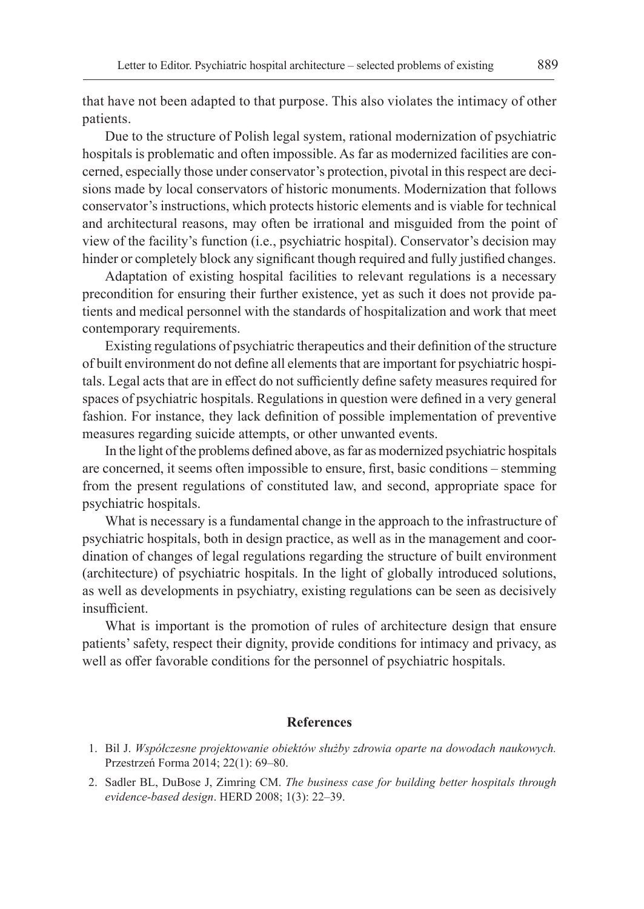that have not been adapted to that purpose. This also violates the intimacy of other patients.

Due to the structure of Polish legal system, rational modernization of psychiatric hospitals is problematic and often impossible. As far as modernized facilities are concerned, especially those under conservator's protection, pivotal in this respect are decisions made by local conservators of historic monuments. Modernization that follows conservator's instructions, which protects historic elements and is viable for technical and architectural reasons, may often be irrational and misguided from the point of view of the facility's function (i.e., psychiatric hospital). Conservator's decision may hinder or completely block any significant though required and fully justified changes.

Adaptation of existing hospital facilities to relevant regulations is a necessary precondition for ensuring their further existence, yet as such it does not provide patients and medical personnel with the standards of hospitalization and work that meet contemporary requirements.

Existing regulations of psychiatric therapeutics and their definition of the structure of built environment do not define all elements that are important for psychiatric hospitals. Legal acts that are in effect do not sufficiently define safety measures required for spaces of psychiatric hospitals. Regulations in question were defined in a very general fashion. For instance, they lack definition of possible implementation of preventive measures regarding suicide attempts, or other unwanted events.

In the light of the problems defined above, as far as modernized psychiatric hospitals are concerned, it seems often impossible to ensure, first, basic conditions – stemming from the present regulations of constituted law, and second, appropriate space for psychiatric hospitals.

What is necessary is a fundamental change in the approach to the infrastructure of psychiatric hospitals, both in design practice, as well as in the management and coordination of changes of legal regulations regarding the structure of built environment (architecture) of psychiatric hospitals. In the light of globally introduced solutions, as well as developments in psychiatry, existing regulations can be seen as decisively insufficient.

What is important is the promotion of rules of architecture design that ensure patients' safety, respect their dignity, provide conditions for intimacy and privacy, as well as offer favorable conditions for the personnel of psychiatric hospitals.

## **References**

- 1. Bil J. *Współczesne projektowanie obiektów służby zdrowia oparte na dowodach naukowych.*  Przestrzeń Forma 2014; 22(1): 69–80.
- 2. Sadler BL, DuBose J, Zimring CM. *The business case for building better hospitals through evidence-based design*. HERD 2008; 1(3): 22–39.